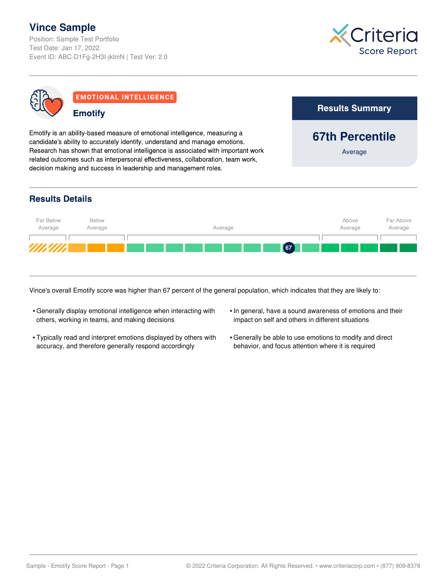# **Vince Sample**

Position: Sample Test Portfolio Test Date: Jan 17, 2022 Event ID: ABC-D1Fg-2H3I-jklmN | Test Ver: 2.0

**Emotify** 



**67th Percentile**

**Results Summary** 

Average



**EMOTIONAL INTELLIGENCE** 

Emotify is an ability-based measure of emotional intelligence, measuring a candidate's ability to accurately identify, understand and manage emotions. Research has shown that emotional intelligence is associated with important work related outcomes such as interpersonal effectiveness, collaboration, team work, decision making and success in leadership and management roles.

### **Results Details**



Vince's overall Emotify score was higher than 67 percent of the general population, which indicates that they are likely to:

- Generally display emotional intelligence when interacting with others, working in teams, and making decisions
- Typically read and interpret emotions displayed by others with accuracy, and therefore generally respond accordingly
- In general, have a sound awareness of emotions and their impact on self and others in different situations
- Generally be able to use emotions to modify and direct behavior, and focus attention where it is required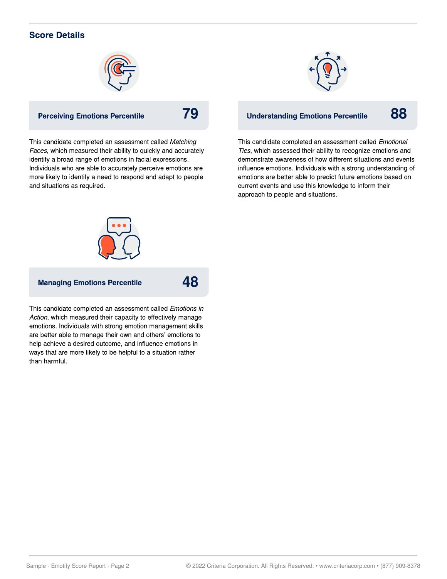### **Score Details**



#### **Perceiving Emotions Percentile**

This candidate completed an assessment called Matching Faces, which measured their ability to quickly and accurately identify a broad range of emotions in facial expressions. Individuals who are able to accurately perceive emotions are more likely to identify a need to respond and adapt to people and situations as required.



## **79 B** Understanding Emotions Percentile 88

This candidate completed an assessment called Emotional Ties, which assessed their ability to recognize emotions and demonstrate awareness of how different situations and events influence emotions. Individuals with a strong understanding of emotions are better able to predict future emotions based on current events and use this knowledge to inform their approach to people and situations.



#### **Managing Emotions Percentile**

**48**

This candidate completed an assessment called Emotions in Action, which measured their capacity to effectively manage emotions. Individuals with strong emotion management skills are better able to manage their own and others' emotions to help achieve a desired outcome, and influence emotions in ways that are more likely to be helpful to a situation rather than harmful.